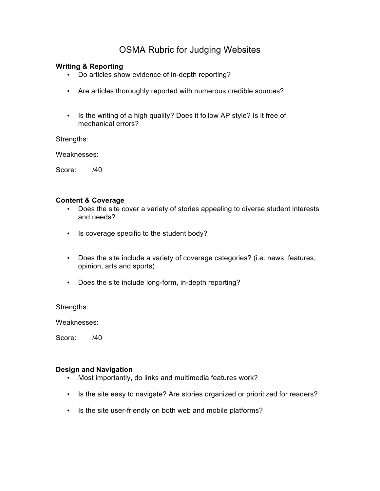# OSMA Rubric for Judging Websites

# **Writing & Reporting**

- Do articles show evidence of in-depth reporting?
- Are articles thoroughly reported with numerous credible sources?
- Is the writing of a high quality? Does it follow AP style? Is it free of mechanical errors?

Strengths:

Weaknesses:

Score: /40

# **Content & Coverage**

- Does the site cover a variety of stories appealing to diverse student interests and needs?
- Is coverage specific to the student body?
- Does the site include a variety of coverage categories? (i.e. news, features, opinion, arts and sports)
- Does the site include long-form, in-depth reporting?

Strengths:

Weaknesses:

Score: /40

# **Design and Navigation**

- Most importantly, do links and multimedia features work?
- Is the site easy to navigate? Are stories organized or prioritized for readers?
- Is the site user-friendly on both web and mobile platforms?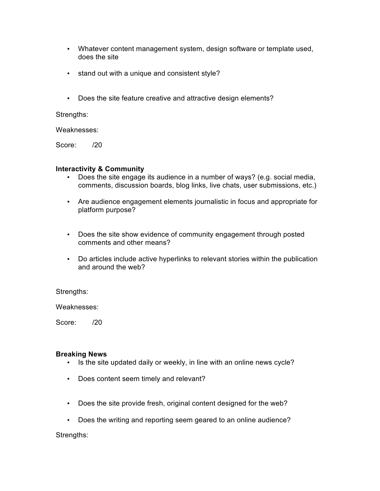- Whatever content management system, design software or template used, does the site
- stand out with a unique and consistent style?
- Does the site feature creative and attractive design elements?

# Strengths:

Weaknesses:

Score: /20

## **Interactivity & Community**

- Does the site engage its audience in a number of ways? (e.g. social media, comments, discussion boards, blog links, live chats, user submissions, etc.)
- Are audience engagement elements journalistic in focus and appropriate for platform purpose?
- Does the site show evidence of community engagement through posted comments and other means?
- Do articles include active hyperlinks to relevant stories within the publication and around the web?

Strengths:

Weaknesses:

Score: /20

#### **Breaking News**

- Is the site updated daily or weekly, in line with an online news cycle?
- Does content seem timely and relevant?
- Does the site provide fresh, original content designed for the web?
- Does the writing and reporting seem geared to an online audience?

Strengths: